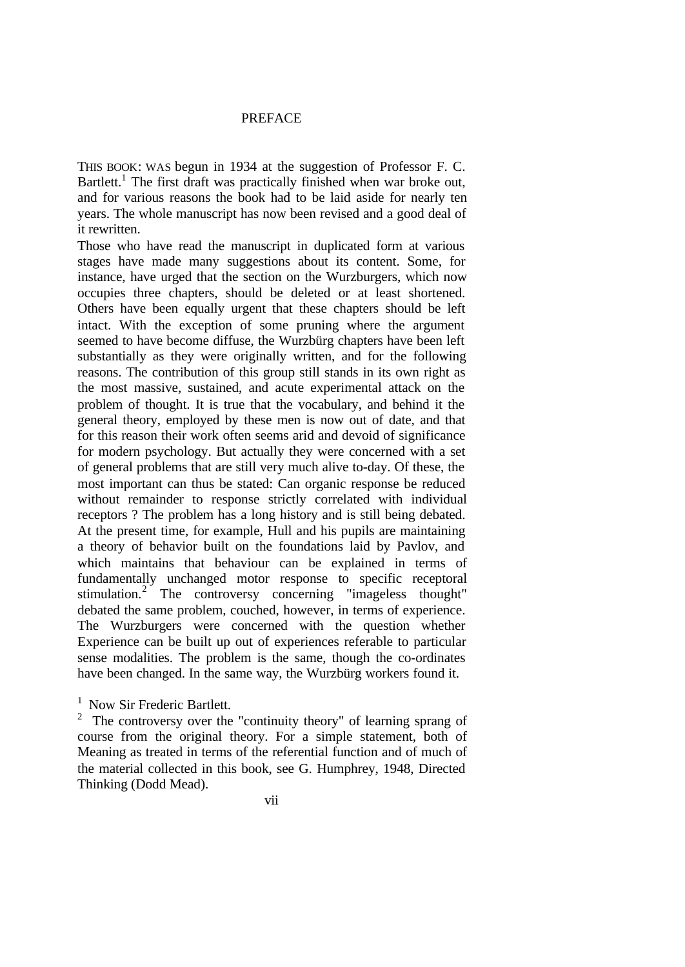## PREFACE

THIS BOOK: WAS begun in 1934 at the suggestion of Professor F. C. Bartlett.<sup>1</sup> The first draft was practically finished when war broke out, and for various reasons the book had to be laid aside for nearly ten years. The whole manuscript has now been revised and a good deal of it rewritten.

Those who have read the manuscript in duplicated form at various stages have made many suggestions about its content. Some, for instance, have urged that the section on the Wurzburgers, which now occupies three chapters, should be deleted or at least shortened. Others have been equally urgent that these chapters should be left intact. With the exception of some pruning where the argument seemed to have become diffuse, the Wurzbürg chapters have been left substantially as they were originally written, and for the following reasons. The contribution of this group still stands in its own right as the most massive, sustained, and acute experimental attack on the problem of thought. It is true that the vocabulary, and behind it the general theory, employed by these men is now out of date, and that for this reason their work often seems arid and devoid of significance for modern psychology. But actually they were concerned with a set of general problems that are still very much alive to-day. Of these, the most important can thus be stated: Can organic response be reduced without remainder to response strictly correlated with individual receptors ? The problem has a long history and is still being debated. At the present time, for example, Hull and his pupils are maintaining a theory of behavior built on the foundations laid by Pavlov, and which maintains that behaviour can be explained in terms of fundamentally unchanged motor response to specific receptoral stimulation.<sup>2</sup> The controversy concerning "imageless thought" debated the same problem, couched, however, in terms of experience. The Wurzburgers were concerned with the question whether Experience can be built up out of experiences referable to particular sense modalities. The problem is the same, though the co-ordinates have been changed. In the same way, the Wurzbürg workers found it.

<sup>2</sup> The controversy over the "continuity theory" of learning sprang of course from the original theory. For a simple statement, both of Meaning as treated in terms of the referential function and of much of the material collected in this book, see G. Humphrey, 1948, Directed Thinking (Dodd Mead).

 $1$  Now Sir Frederic Bartlett.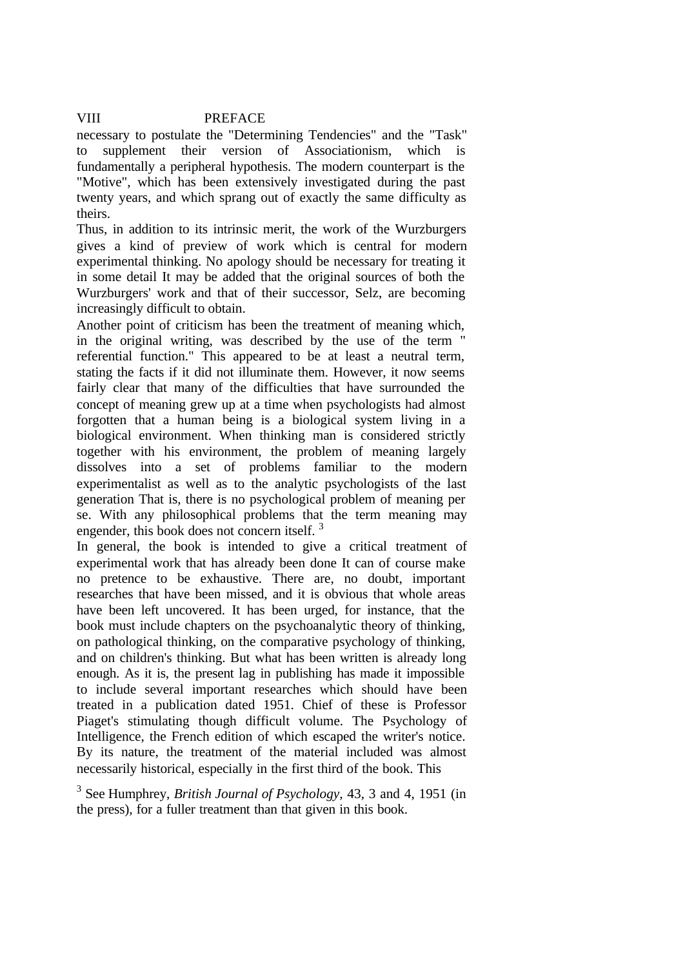### VIII PREFACE

necessary to postulate the "Determining Tendencies" and the "Task" to supplement their version of Associationism, which is fundamentally a peripheral hypothesis. The modern counterpart is the "Motive", which has been extensively investigated during the past twenty years, and which sprang out of exactly the same difficulty as theirs.

Thus, in addition to its intrinsic merit, the work of the Wurzburgers gives a kind of preview of work which is central for modern experimental thinking. No apology should be necessary for treating it in some detail It may be added that the original sources of both the Wurzburgers' work and that of their successor, Selz, are becoming increasingly difficult to obtain.

Another point of criticism has been the treatment of meaning which, in the original writing, was described by the use of the term " referential function." This appeared to be at least a neutral term, stating the facts if it did not illuminate them. However, it now seems fairly clear that many of the difficulties that have surrounded the concept of meaning grew up at a time when psychologists had almost forgotten that a human being is a biological system living in a biological environment. When thinking man is considered strictly together with his environment, the problem of meaning largely dissolves into a set of problems familiar to the modern experimentalist as well as to the analytic psychologists of the last generation That is, there is no psychological problem of meaning per se. With any philosophical problems that the term meaning may engender, this book does not concern itself.<sup>3</sup>

In general, the book is intended to give a critical treatment of experimental work that has already been done It can of course make no pretence to be exhaustive. There are, no doubt, important researches that have been missed, and it is obvious that whole areas have been left uncovered. It has been urged, for instance, that the book must include chapters on the psychoanalytic theory of thinking, on pathological thinking, on the comparative psychology of thinking, and on children's thinking. But what has been written is already long enough. As it is, the present lag in publishing has made it impossible to include several important researches which should have been treated in a publication dated 1951. Chief of these is Professor Piaget's stimulating though difficult volume. The Psychology of Intelligence, the French edition of which escaped the writer's notice. By its nature, the treatment of the material included was almost necessarily historical, especially in the first third of the book. This

3 See Humphrey, *British Journal of Psychology,* 43, 3 and 4, 1951 (in the press), for a fuller treatment than that given in this book.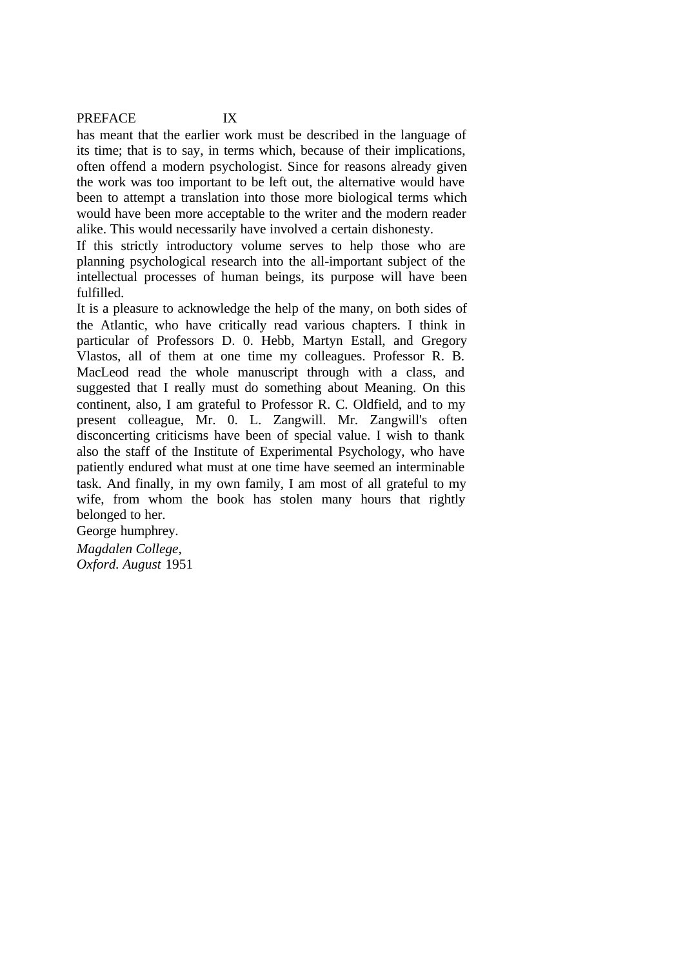## PREFACE IX

has meant that the earlier work must be described in the language of its time; that is to say, in terms which, because of their implications, often offend a modern psychologist. Since for reasons already given the work was too important to be left out, the alternative would have been to attempt a translation into those more biological terms which would have been more acceptable to the writer and the modern reader alike. This would necessarily have involved a certain dishonesty.

If this strictly introductory volume serves to help those who are planning psychological research into the all-important subject of the intellectual processes of human beings, its purpose will have been fulfilled.

It is a pleasure to acknowledge the help of the many, on both sides of the Atlantic, who have critically read various chapters. I think in particular of Professors D. 0. Hebb, Martyn Estall, and Gregory Vlastos, all of them at one time my colleagues. Professor R. B. MacLeod read the whole manuscript through with a class, and suggested that I really must do something about Meaning. On this continent, also, I am grateful to Professor R. C. Oldfield, and to my present colleague, Mr. 0. L. Zangwill. Mr. Zangwill's often disconcerting criticisms have been of special value. I wish to thank also the staff of the Institute of Experimental Psychology, who have patiently endured what must at one time have seemed an interminable task. And finally, in my own family, I am most of all grateful to my wife, from whom the book has stolen many hours that rightly belonged to her.

George humphrey. *Magdalen College, Oxford. August* 1951